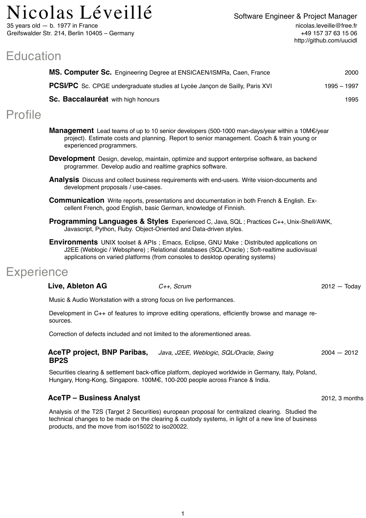# $\rm{Nicolas}$   $\rm{Leveill\'e}$  Software Engineer & Project Manager

35 years old — b. 1977 in France Greifswalder Str. 214, Berlin 10405 – Germany

# **Education**

|                                    | MS. Computer Sc. Engineering Degree at ENSICAEN/ISMRa, Caen, France                | 2000          |
|------------------------------------|------------------------------------------------------------------------------------|---------------|
|                                    | <b>PCSI/PC</b> Sc. CPGE undergraduate studies at Lycée Jancon de Sailly, Paris XVI | $1995 - 1997$ |
| Sc. Baccalauréat with high honours |                                                                                    | 1995          |
| <b>Profile</b>                     |                                                                                    |               |

- **Management** Lead teams of up to 10 senior developers (500-1000 man-days/year within a 10M€/year project). Estimate costs and planning. Report to senior management. Coach & train young or experienced programmers.
- **Development** Design, develop, maintain, optimize and support enterprise software, as backend programmer. Develop audio and realtime graphics software.
- **Analysis** Discuss and collect business requirements with end-users. Write vision-documents and development proposals / use-cases.
- **Communication** Write reports, presentations and documentation in both French & English. Excellent French, good English, basic German, knowledge of Finnish.
- **Programming Languages & Styles** Experienced C, Java, SQL ; Practices C++, Unix-Shell/AWK, Javascript, Python, Ruby. Object-Oriented and Data-driven styles.
- **Environments** UNIX toolset & APIs ; Emacs, Eclipse, GNU Make ; Distributed applications on J2EE (Weblogic / Websphere) ; Relational databases (SQL/Oracle) ; Soft-realtime audiovisual applications on varied platforms (from consoles to desktop operating systems)

## **Experience**

| Live, Ableton AG |  |
|------------------|--|
|------------------|--|

Music & Audio Workstation with a strong focus on live performances.

Development in C++ of features to improve editing operations, efficiently browse and manage resources.

Correction of defects included and not limited to the aforementioned areas.

| <b>AceTP project, BNP Paribas,</b> | Java, J2EE, Weblogic, SQL/Oracle, Swing | $2004 - 2012$ |
|------------------------------------|-----------------------------------------|---------------|
| BP <sub>2</sub> S                  |                                         |               |

Securities clearing & settlement back-office platform, deployed worldwide in Germany, Italy, Poland, Hungary, Hong-Kong, Singapore. 100M€, 100-200 people across France & India.

### **AceTP – Business Analyst** 2012, 3 months

Analysis of the T2S (Target 2 Securities) european proposal for centralized clearing. Studied the technical changes to be made on the clearing & custody systems, in light of a new line of business products, and the move from iso15022 to iso20022.

**Live, Ableton AG** *C++, Scrum* 2012 — Today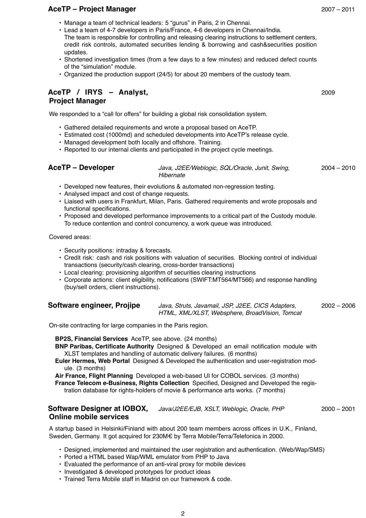### **AceTP – Project Manager** 2007 – 2011

- Manage a team of technical leaders: 5 "gurus" in Paris, 2 in Chennai.
- Lead a team of 4-7 developers in Paris/France, 4-6 developers in Chennai/India. The team is responsible for controlling and releasing clearing instructions to settlement centers, credit risk controls, automated securities lending & borrowing and cash&securities position updates.
- Shortened investigation times (from a few days to a few minutes) and reduced defect counts of the "simulation" module.
- Organized the production support (24/5) for about 20 members of the custody team.

### **AceTP / IRYS – Analyst, Project Manager**

We responded to a "call for offers" for building a global risk consolidation system.

- Gathered detailed requirements and wrote a proposal based on AceTP.
- Estimated cost (1000md) and scheduled developments into AceTP's release cycle.
- Managed development both locally and offshore. Training.
- Reported to our internal clients and participated in the project cycle meetings.

### **AceTP – Developer** *Java, J2EE/Weblogic, SQL/Oracle, Junit, Swing, Hibernate* 2004 – 2010

- Developed new features, their evolutions & automated non-regression testing.
- Analysed impact and cost of change requests.
- Liaised with users in Frankfurt, Milan, Paris. Gathered requirements and wrote proposals and functional specifications.
- Proposed and developed performance improvements to a critical part of the Custody module. To reduce contention and control concurrency, a work queue was introduced.

Covered areas:

- Security positions: intraday & forecasts.
- Credit risk: cash and risk positions with valuation of securities. Blocking control of individual transactions (security/cash clearing, cross-border transactions)
- Local clearing: provisioning algorithm of securities clearing instructions
- Corporate actions: client eligibility, notifications (SWIFT:MT564/MT566) and response handling (buy/sell orders, client instructions).

| Software engineer, Projipe |  |  |  |
|----------------------------|--|--|--|
|----------------------------|--|--|--|

**Software engineer, Projipe** *Java, Struts, Javamail, JSP, J2EE, CICS Adapters, HTML, XML/XLST, Websphere, BroadVision, Tomcat* 2002 – 2006

On-site contracting for large companies in the Paris region.

**BP2S, Financial Services** AceTP, see above. (24 months)

- **BNP Paribas, Certificate Authority** Designed & Developed an email notification module with XLST templates and handling of automatic delivery failures. (6 months)
- **Euler Hermes, Web Portal** Designed & Developed the authentication and user-registration module. (3 months)

**Air France, Flight Planning** Developed a web-based UI for COBOL services. (3 months)

**France Telecom e-Business, Rights Collection** Specified, Designed and Developed the registration database for rights-holders of movie & performance arts works. (7 months)

### Software Designer at IOBOX, Java/J2EE/EJB, XSLT, Weblogic, Oracle, PHP 2000 - 2001 **Online mobile services**

A startup based in Helsinki/Finland with about 200 team members across offices in U.K., Finland, Sweden, Germany. It got acquired for 230M€ by Terra Mobile/Terra/Telefonica in 2000.

- Designed, implemented and maintained the user registration and authentication. (Web/Wap/SMS)
- Ported a HTML based Wap/WML emulator from PHP to Java
- Evaluated the performance of an anti-viral proxy for mobile devices
- Investigated & developed prototypes for product ideas
- Trained Terra Mobile staff in Madrid on our framework & code.

2009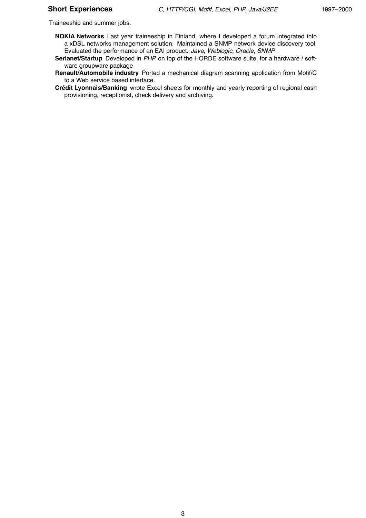Traineeship and summer jobs.

- **NOKIA Networks** Last year traineeship in Finland, where I developed a forum integrated into a xDSL networks management solution. Maintained a SNMP network device discovery tool. Evaluated the performance of an EAI product. *Java, Weblogic, Oracle, SNMP*
- **Serianet/Startup** Developed in *PHP* on top of the HORDE software suite, for a hardware / software groupware package
- **Renault/Automobile industry** Ported a mechanical diagram scanning application from Motif/C to a Web service based interface.
- **Crédit Lyonnais/Banking** wrote Excel sheets for monthly and yearly reporting of regional cash provisioning, receptionist, check delivery and archiving.